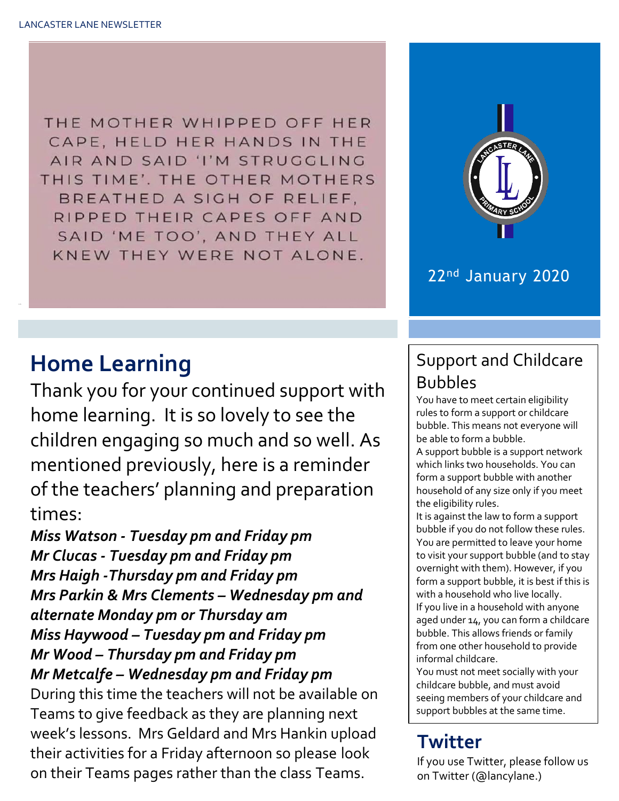THE MOTHER WHIPPED OFF HER CAPE, HELD HER HANDS IN THE AIR AND SAID 'I'M STRUGGLING THIS TIME'. THE OTHER MOTHERS BREATHED A SIGH OF RELIEF, RIPPED THEIR CAPES OFF AND SAID 'ME TOO', AND THEY ALL KNEW THEY WERE NOT ALONE.



#### 22nd January 2020

### **Home Learning**

Thank you for your continued support with home learning. It is so lovely to see the children engaging so much and so well. As mentioned previously, here is a reminder of the teachers' planning and preparation times:

*Miss Watson - Tuesday pm and Friday pm Mr Clucas - Tuesday pm and Friday pm Mrs Haigh -Thursday pm and Friday pm Mrs Parkin & Mrs Clements – Wednesday pm and alternate Monday pm or Thursday am Miss Haywood – Tuesday pm and Friday pm Mr Wood – Thursday pm and Friday pm Mr Metcalfe – Wednesday pm and Friday pm* During this time the teachers will not be available on Teams to give feedback as they are planning next week's lessons. Mrs Geldard and Mrs Hankin upload their activities for a Friday afternoon so please look on their Teams pages rather than the class Teams.

#### Support and Childcare Bubbles

You have to meet certain eligibility rules to form a support or childcare bubble. This means not everyone will be able to form a bubble.

A support bubble is a support network which links two households. You can form a support bubble with another household of any size only if you meet the eligibility rules.

It is against the law to form a support bubble if you do not follow these rules. You are permitted to leave your home to visit your support bubble (and to stay overnight with them). However, if you form a support bubble, it is best if this is with a household who live locally. If you live in a household with anyone aged under 14, you can form a childcare bubble. This allows friends or family from one other household to provide informal childcare.

You must not meet socially with your childcare bubble, and must avoid seeing members of your childcare and support bubbles at the same time.

#### **Twitter** bubbles and children bubbles and children bubbles and children bubbles. The children bubbles and children bubbles. The children bubbles and children bubbles and children bubbles and children bubbles. The children bubbles a

If you use Twitter, please follow us on Twitter (@lancylane.)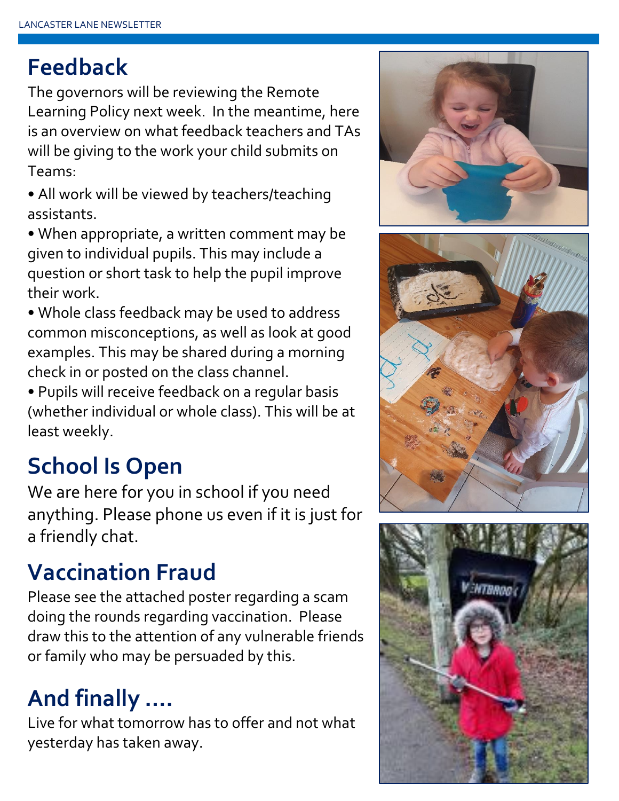## **Feedback**

The governors will be reviewing the Remote Learning Policy next week. In the meantime, here is an overview on what feedback teachers and TAs will be giving to the work your child submits on Teams:

• All work will be viewed by teachers/teaching assistants.

• When appropriate, a written comment may be given to individual pupils. This may include a question or short task to help the pupil improve their work.

• Whole class feedback may be used to address common misconceptions, as well as look at good examples. This may be shared during a morning check in or posted on the class channel.

• Pupils will receive feedback on a regular basis (whether individual or whole class). This will be at least weekly.

# **School Is Open**

We are here for you in school if you need anything. Please phone us even if it is just for a friendly chat.

# **Vaccination Fraud**

Please see the attached poster regarding a scam doing the rounds regarding vaccination. Please draw this to the attention of any vulnerable friends or family who may be persuaded by this.

# **And finally ….**

Live for what tomorrow has to offer and not what yesterday has taken away.